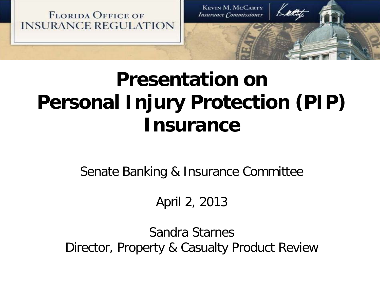**FLORIDA OFFICE OF INSURANCE REGULATION** 

**KEVIN M. MCCARTY Insurance Commissioner** 

## **Presentation on Personal Injury Protection (PIP) Insurance**

Senate Banking & Insurance Committee

April 2, 2013

Sandra Starnes Director, Property & Casualty Product Review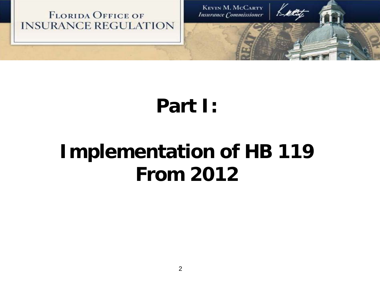

## **Part I:**

## **Implementation of HB 119 From 2012**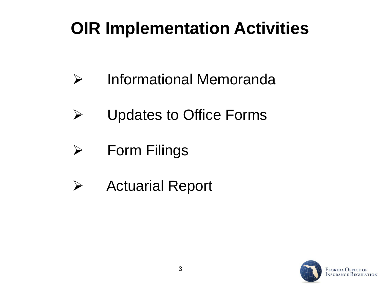### **OIR Implementation Activities**

- Informational Memoranda
- Updates to Office Forms
- $\triangleright$  Form Filings
- $\triangleright$  Actuarial Report

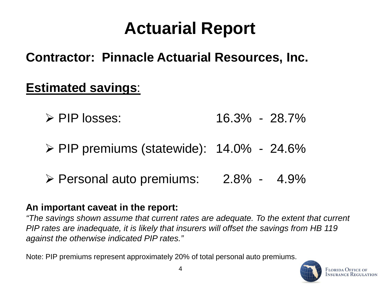### **Actuarial Report**

**Contractor: Pinnacle Actuarial Resources, Inc.**

#### **Estimated savings**:

- $\triangleright$  PIP losses: 16.3% 28.7%
- $\triangleright$  PIP premiums (statewide): 14.0% 24.6%
- Personal auto premiums: 2.8% 4.9%

#### **An important caveat in the report:**

*"The savings shown assume that current rates are adequate. To the extent that current PIP rates are inadequate, it is likely that insurers will offset the savings from HB 119 against the otherwise indicated PIP rates."*

Note: PIP premiums represent approximately 20% of total personal auto premiums[.](http://www.floir.com/)

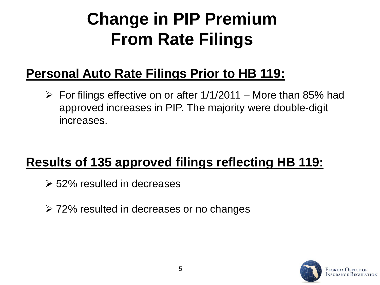### **Change in PIP Premium From Rate Filings**

#### **Personal Auto Rate Filings Prior to HB 119:**

 $\triangleright$  For filings effective on or after 1/1/2011 – More than 85% had approved increases in PIP. The majority were double-digit increases.

#### **Results of 135 approved filings reflecting HB 119:**

- 52% resulted in decreases
- 72% resulted in decreases or no changes

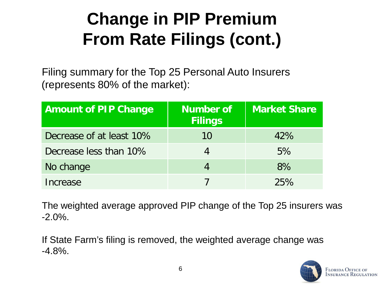### **Change in PIP Premium From Rate Filings (cont.)**

Filing summary for the Top 25 Personal Auto Insurers (represents 80% of the market):

| <b>Amount of PIP Change</b> | Number of<br><b>Filings</b> | <b>Market Share</b> |
|-----------------------------|-----------------------------|---------------------|
| Decrease of at least 10%    | 10                          | 42%                 |
| Decrease less than 10%      |                             | 5%                  |
| No change                   |                             | 8%                  |
| Increase                    |                             | 25%                 |

The weighted average approved PIP change of the Top 25 insurers was -2.0%.

If State Farm's filing is removed, the weighted average change was  $-4.8\%$ .

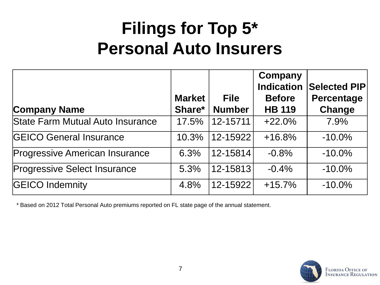#### **Filings for Top 5\* Personal Auto Insurers**

|                                         |                         |                              | Company<br><b>Indication</b>   | Selected PIP                |
|-----------------------------------------|-------------------------|------------------------------|--------------------------------|-----------------------------|
| <b>Company Name</b>                     | <b>Market</b><br>Share* | <b>File</b><br><b>Number</b> | <b>Before</b><br><b>HB 119</b> | <b>Percentage</b><br>Change |
| <b>State Farm Mutual Auto Insurance</b> | 17.5%                   | 12-15711                     | $+22.0%$                       | 7.9%                        |
| <b>GEICO General Insurance</b>          | 10.3%                   | 12-15922                     | $+16.8%$                       | $-10.0\%$                   |
| <b>Progressive American Insurance</b>   | 6.3%                    | 12-15814                     | $-0.8%$                        | $-10.0\%$                   |
| <b>Progressive Select Insurance</b>     | 5.3%                    | 12-15813                     | $-0.4%$                        | $-10.0\%$                   |
| <b>GEICO Indemnity</b>                  | 4.8%                    | 12-15922                     | $+15.7%$                       | $-10.0\%$                   |

\* Based on 2012 Total Personal Auto premiums reported on FL state page of the annual statement.

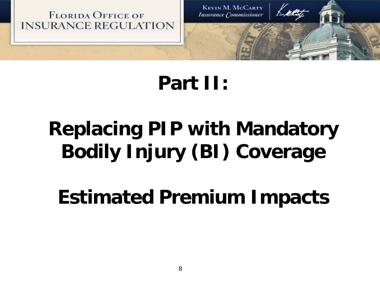

### **Part II:**

## **Replacing PIP with Mandatory Bodily Injury (BI) Coverage**

**Estimated Premium Impacts**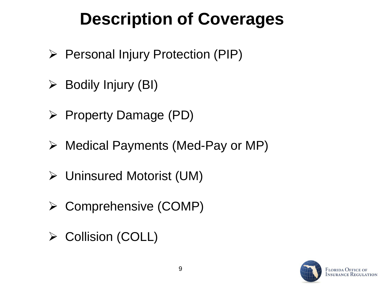### **Description of Coverages**

- $\triangleright$  Personal Injury Protection (PIP)
- $\triangleright$  Bodily Injury (BI)
- $\triangleright$  Property Damage (PD)
- Medical Payments (Med-Pay or MP)
- Uninsured Motorist (UM)
- Comprehensive (COMP)
- **≻ Collision (COLL)**

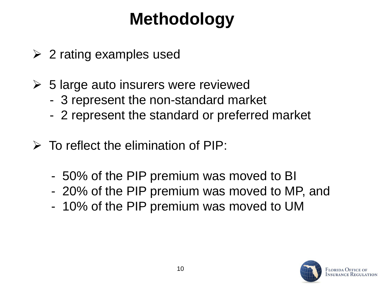### **Methodology**

- $\geq$  2 rating examples used
- $\geq$  5 large auto insurers were reviewed
	- 3 represent the non-standard market
	- 2 represent the standard or preferred market
- $\triangleright$  To reflect the elimination of PIP:
	- 50% of the PIP premium was moved to BI
	- 20% of the PIP premium was moved to MP, and
	- 10% of the PIP premium was moved to UM

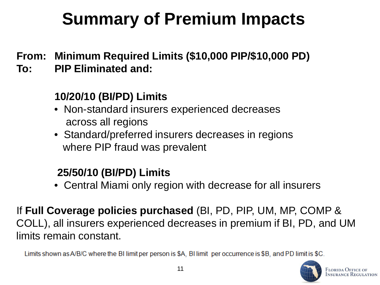## **Summary of Premium Impacts**

- **From: Minimum Required Limits (\$10,000 PIP/\$10,000 PD)**
- **To: PIP Eliminated and:**

#### **10/20/10 (BI/PD) Limits**

- Non-standard insurers experienced decreases across all regions
- Standard/preferred insurers decreases in regions where PIP fraud was prevalent

#### **25/50/10 (BI/PD) Limits**

• Central Miami only region with decrease for all insurers

If **Full Coverage policies purchased** (BI, PD, PIP, UM, MP, COMP & COLL), all insurers experienced decreases in premium if BI, PD, and UM limits remain constant.

Limits shown as A/B/C where the BI limit per person is \$A. BI limit per occurrence is \$B, and PD limit is \$C.

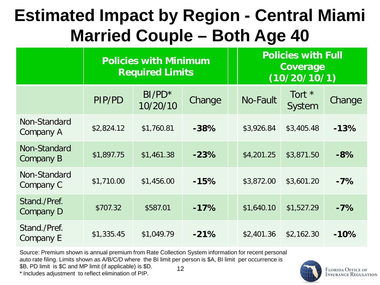### **Estimated Impact by Region - Central Miami Married Couple – Both Age 40**

|                           | <b>Policies with Minimum</b><br><b>Required Limits</b> |                       |        | <b>Policies with Full</b><br>Coverage<br>(10/20/10/1) |                  |        |  |
|---------------------------|--------------------------------------------------------|-----------------------|--------|-------------------------------------------------------|------------------|--------|--|
|                           | PIP/PD                                                 | $BI/PD^*$<br>10/20/10 | Change | <b>No-Fault</b>                                       | Tort *<br>System | Change |  |
| Non-Standard<br>Company A | \$2,824.12                                             | \$1,760.81            | $-38%$ | \$3,926.84                                            | \$3,405.48       | $-13%$ |  |
| Non-Standard<br>Company B | \$1,897.75                                             | \$1,461.38            | $-23%$ | \$4,201.25                                            | \$3,871.50       | $-8%$  |  |
| Non-Standard<br>Company C | \$1,710.00                                             | \$1,456.00            | $-15%$ | \$3,872.00                                            | \$3,601.20       | $-7%$  |  |
| Stand./Pref.<br>Company D | \$707.32                                               | \$587.01              | $-17%$ | \$1,640.10                                            | \$1,527.29       | $-7%$  |  |
| Stand./Pref.<br>Company E | \$1,335.45                                             | \$1,049.79            | $-21%$ | \$2,401.36                                            | \$2,162.30       | $-10%$ |  |

12 Source: Premium shown is annual premium from Rate Collection System information for recent personal auto rate filing. Limits shown as A/B/C/D where the BI limit per person is \$A, BI limit per occurrence is \$B, PD limit is \$C and MP limit (if applicable) is \$D.

\* Includes adjustment to reflect elimination of PIP.



**FLORIDA OFFICE OF INSURANCE REGULATION**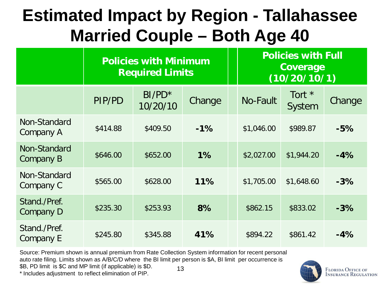#### **Estimated Impact by Region - Tallahassee Married Couple – Both Age 40**

|                           | <b>Policies with Minimum</b><br><b>Required Limits</b> |                       |        | <b>Policies with Full</b><br>Coverage<br>(10/20/10/1) |                    |        |  |
|---------------------------|--------------------------------------------------------|-----------------------|--------|-------------------------------------------------------|--------------------|--------|--|
|                           | PIP/PD                                                 | $BI/PD^*$<br>10/20/10 | Change | <b>No-Fault</b>                                       | Tort $*$<br>System | Change |  |
| Non-Standard<br>Company A | \$414.88                                               | \$409.50              | $-1%$  | \$1,046.00                                            | \$989.87           | $-5%$  |  |
| Non-Standard<br>Company B | \$646.00                                               | \$652.00              | 1%     | \$2,027.00                                            | \$1,944.20         | $-4%$  |  |
| Non-Standard<br>Company C | \$565.00                                               | \$628.00              | 11%    | \$1,705.00                                            | \$1,648.60         | $-3%$  |  |
| Stand./Pref.<br>Company D | \$235.30                                               | \$253.93              | 8%     | \$862.15                                              | \$833.02           | $-3%$  |  |
| Stand./Pref.<br>Company E | \$245.80                                               | \$345.88              | 41%    | \$894.22                                              | \$861.42           | $-4%$  |  |

13 Source: Premium shown is annual premium from Rate Collection System information for recent personal auto rate filing. Limits shown as A/B/C/D where the BI limit per person is \$A, BI limit per occurrence is \$B, PD limit is \$C and MP limit (if applicable) is \$D.

\* Includes adjustment to reflect elimination of PIP.



**FLORIDA OFFICE OF INSURANCE REGULATION**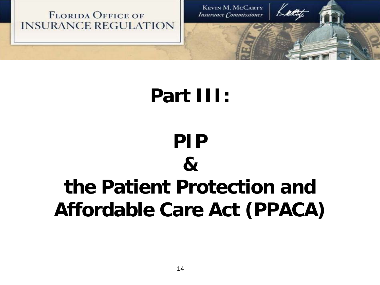

#### **Part III:**

# **PIP & the Patient Protection and Affordable Care Act (PPACA)**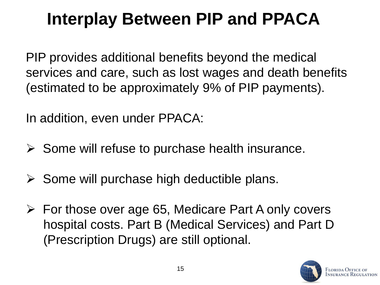### **Interplay Between PIP and PPACA**

PIP provides additional benefits beyond the medical services and care, such as lost wages and death benefits (estimated to be approximately 9% of PIP payments).

In addition, even under PPACA:

- $\triangleright$  Some will refuse to purchase health insurance.
- $\triangleright$  Some will purchase high deductible plans.
- $\triangleright$  For those over age 65, Medicare Part A only covers hospital costs. Part B (Medical Services) and Part D (Prescription Drugs) are still optional.